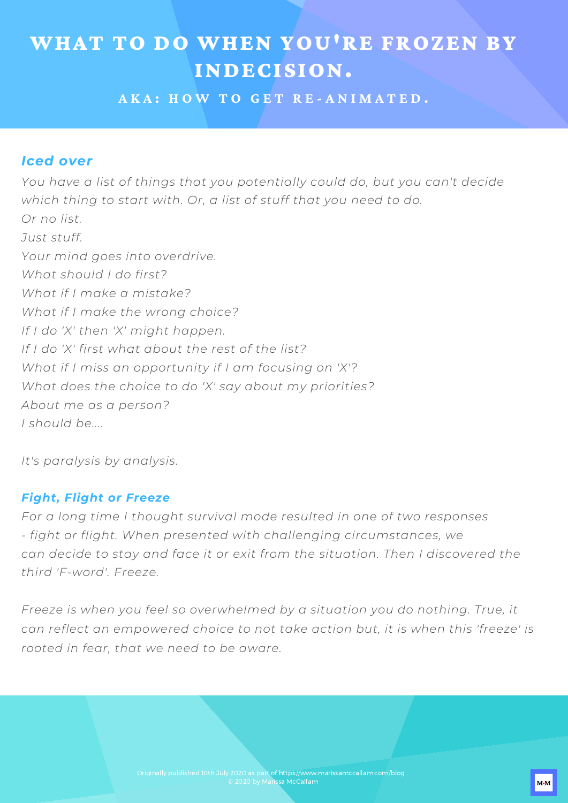# WHAT TO DO WHEN YOU'RE FROZEN BY INDECISION.

**A K A : H O W T O G E T R E - A N I M A T E D .**

#### *Iced over*

*You have a list of things that you potentially could do, but you can't decide which thing to start with. Or, a list of stuff that you need to do. Or no list. Just stuff. Your mind goes into overdrive. What should I do first? What if I make a mistake? What if I make the wrong choice? If I do 'X' then 'X' might happen. If I do 'X' first what about the rest of the list? What if I miss an opportunity if I am focusing on 'X'? What does the choice to do 'X' say about my priorities? About me as a person? I should be....*

*It's paralysis by analysis.*

#### *Fight, Flight or Freeze*

*For a long time I thought survival mode resulted in one of two responses - fight or flight. When presented with challenging circumstances, we can decide to stay and face it or exit from the situation. Then I discovered the third 'F-word'. Freeze.*

*Freeze is when you feel so overwhelmed by a situation you do nothing. True, it can reflect an empowered choice to not take action but, it is when this 'freeze' is rooted in fear, that we need to be aware.*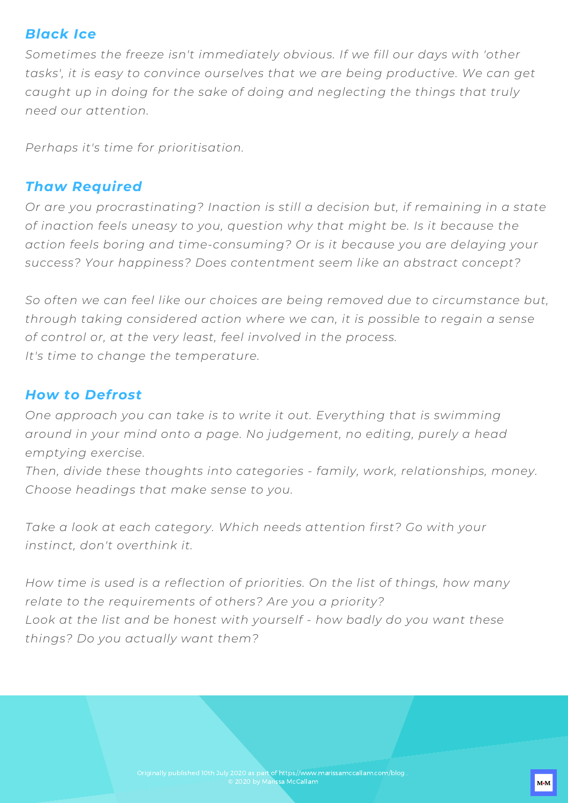#### *Black Ice*

WHAT TO DO WHEN YOU'RE FROZEN BY *Sometimes the freeze isn't immediately obvious. If we fill our days with 'other* INDECISION. *tasks', it is easy to convince ourselves that we are being productive. We can get* caught up in doing for the sake of doing and neglecting the things that truly<br>. *need our attention.*

*Perhaps it's time for prioritisation.*

#### *Thaw Required*

*Or are you procrastinating? Inaction is still a decision but, if remaining in a state of inaction feels uneasy to you, question why that might be. Is it because the action feels boring and time-consuming? Or is it because you are delaying your success? Your happiness? Does contentment seem like an abstract concept?*

*So often we can feel like our choices are being removed due to circumstance but, through taking considered action where we can, it is possible to regain a sense of control or, at the very least, feel involved in the process. It's time to change the temperature.*

### *How to Defrost*

*One approach you can take is to write it out. Everything that is swimming around in your mind onto a page. No judgement, no editing, purely a head emptying exercise.*

*Then, divide these thoughts into categories - family, work, relationships, money. Choose headings that make sense to you.*

*Take a look at each category. Which needs attention first? Go with your instinct, don't overthink it.*

*How time is used is a reflection of priorities. On the list of things, how many relate to the requirements of others? Are you a priority? Look at the list and be honest with yourself - how badly do you want these things? Do you actually want them?*